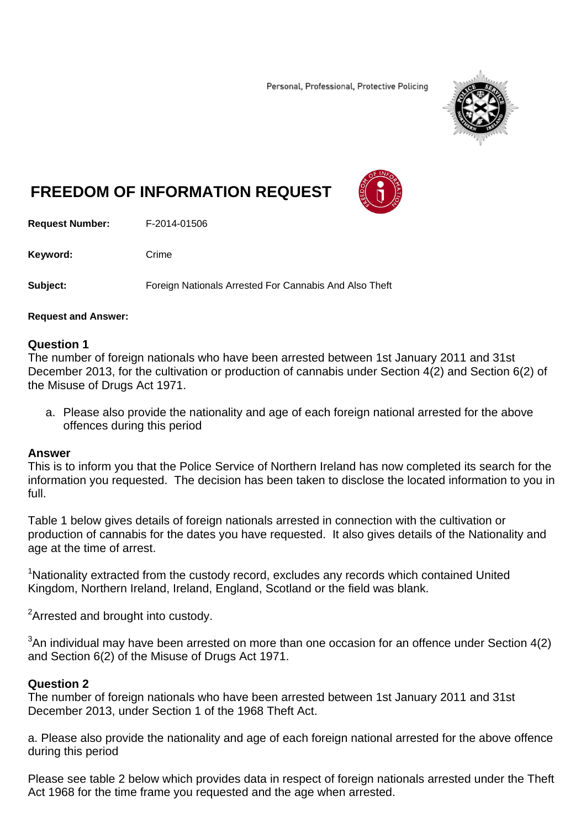Personal, Professional, Protective Policing



# **FREEDOM OF INFORMATION REQUEST**

**Request Number:** F-2014-01506

Keyword: Crime

**Subject:** Foreign Nationals Arrested For Cannabis And Also Theft

#### **Request and Answer:**

#### **Question 1**

The number of foreign nationals who have been arrested between 1st January 2011 and 31st December 2013, for the cultivation or production of cannabis under Section 4(2) and Section 6(2) of the Misuse of Drugs Act 1971.

a. Please also provide the nationality and age of each foreign national arrested for the above offences during this period

#### **Answer**

This is to inform you that the Police Service of Northern Ireland has now completed its search for the information you requested. The decision has been taken to disclose the located information to you in full.

Table 1 below gives details of foreign nationals arrested in connection with the cultivation or production of cannabis for the dates you have requested. It also gives details of the Nationality and age at the time of arrest.

<sup>1</sup>Nationality extracted from the custody record, excludes any records which contained United Kingdom, Northern Ireland, Ireland, England, Scotland or the field was blank.

 ${}^{2}$ Arrested and brought into custody.

 $3$ An individual may have been arrested on more than one occasion for an offence under Section 4(2) and Section 6(2) of the Misuse of Drugs Act 1971.

### **Question 2**

The number of foreign nationals who have been arrested between 1st January 2011 and 31st December 2013, under Section 1 of the 1968 Theft Act.

a. Please also provide the nationality and age of each foreign national arrested for the above offence during this period

Please see table 2 below which provides data in respect of foreign nationals arrested under the Theft Act 1968 for the time frame you requested and the age when arrested.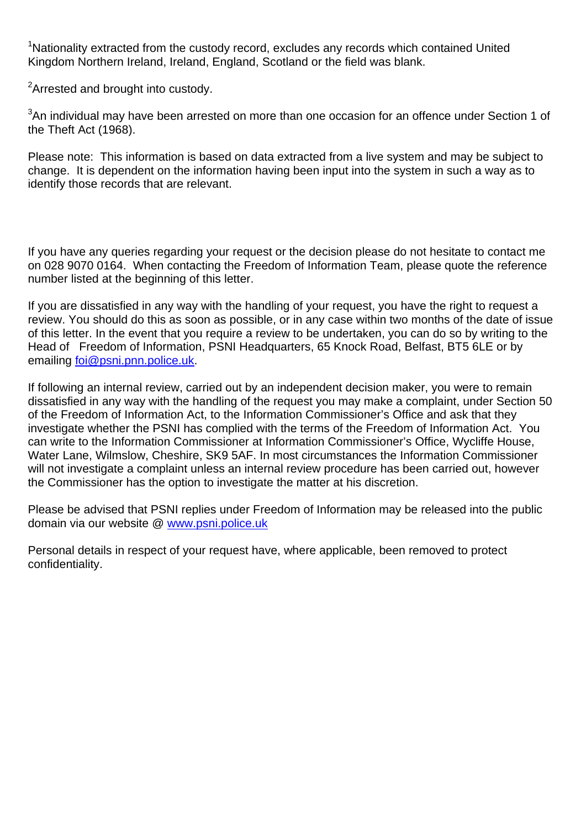<sup>1</sup>Nationality extracted from the custody record, excludes any records which contained United Kingdom Northern Ireland, Ireland, England, Scotland or the field was blank.

<sup>2</sup>Arrested and brought into custody.

 $3$ An individual may have been arrested on more than one occasion for an offence under Section 1 of the Theft Act (1968).

Please note: This information is based on data extracted from a live system and may be subject to change. It is dependent on the information having been input into the system in such a way as to identify those records that are relevant.

If you have any queries regarding your request or the decision please do not hesitate to contact me on 028 9070 0164. When contacting the Freedom of Information Team, please quote the reference number listed at the beginning of this letter.

If you are dissatisfied in any way with the handling of your request, you have the right to request a review. You should do this as soon as possible, or in any case within two months of the date of issue of this letter. In the event that you require a review to be undertaken, you can do so by writing to the Head of Freedom of Information, PSNI Headquarters, 65 Knock Road, Belfast, BT5 6LE or by emailing foi@psni.pnn.police.uk.

If following an internal review, carried out by an independent decision maker, you were to remain dissatisfied in any way with the handling of the request you may make a complaint, under Section 50 of the Freedom of Information Act, to the Information Commissioner's Office and ask that they investigate whether the PSNI has complied with the terms of the Freedom of Information Act. You can write to the Information Commissioner at Information Commissioner's Office, Wycliffe House, Water Lane, Wilmslow, Cheshire, SK9 5AF. In most circumstances the Information Commissioner will not investigate a complaint unless an internal review procedure has been carried out, however the Commissioner has the option to investigate the matter at his discretion.

Please be advised that PSNI replies under Freedom of Information may be released into the public domain via our website @ www.psni.police.uk

Personal details in respect of your request have, where applicable, been removed to protect confidentiality.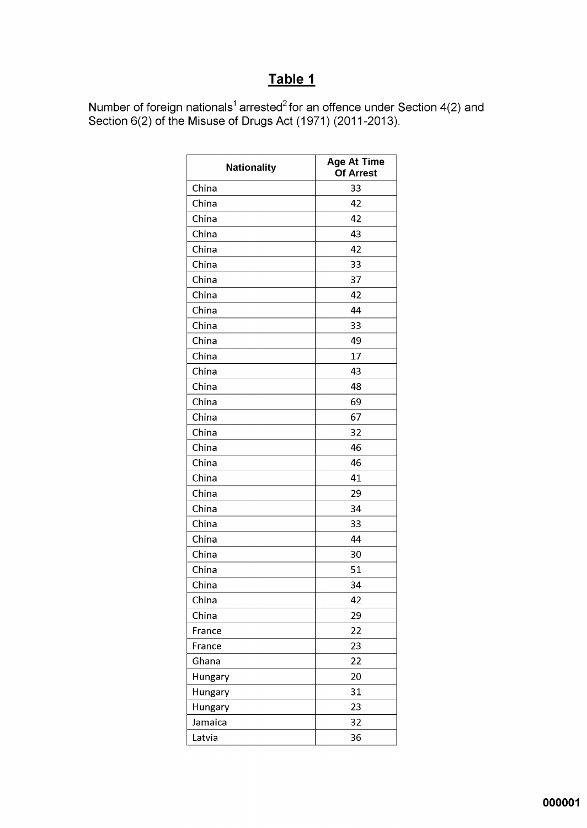## Table 1

Number of foreign nationals<sup>1</sup> arrested<sup>2</sup> for an offence under Section 4(2) and<br>Section 6(2) of the Misuse of Drugs Act (1971) (2011-2013).

| <b>Nationality</b> | <b>Age At Time</b><br><b>Of Arrest</b> |
|--------------------|----------------------------------------|
| China              | 33                                     |
| China              | 42                                     |
| China              | 42                                     |
| China              | 43                                     |
| China              | 42                                     |
| China              | 33                                     |
| China              | 37                                     |
| China              | 42                                     |
| China              | 44                                     |
| China              | 33                                     |
| China              | 49                                     |
| China              | 17                                     |
| China              | 43                                     |
| China              | 48                                     |
| China              | 69                                     |
| China              | 67                                     |
| China              | 32                                     |
| China              | 46                                     |
| China              | 46                                     |
| China              | 41                                     |
| China              | 29                                     |
| China              | 34                                     |
| China              | 33                                     |
| China              | 44                                     |
| China              | 30                                     |
| China              | 51                                     |
| China              | 34                                     |
| China              | 42                                     |
| China              | 29                                     |
| France             | 22                                     |
| France             | 23                                     |
| Ghana              | 22                                     |
| Hungary            | 20                                     |
| Hungary            | 31                                     |
| Hungary            | 23                                     |
| Jamaica            | 32                                     |
| Latvia             | 36                                     |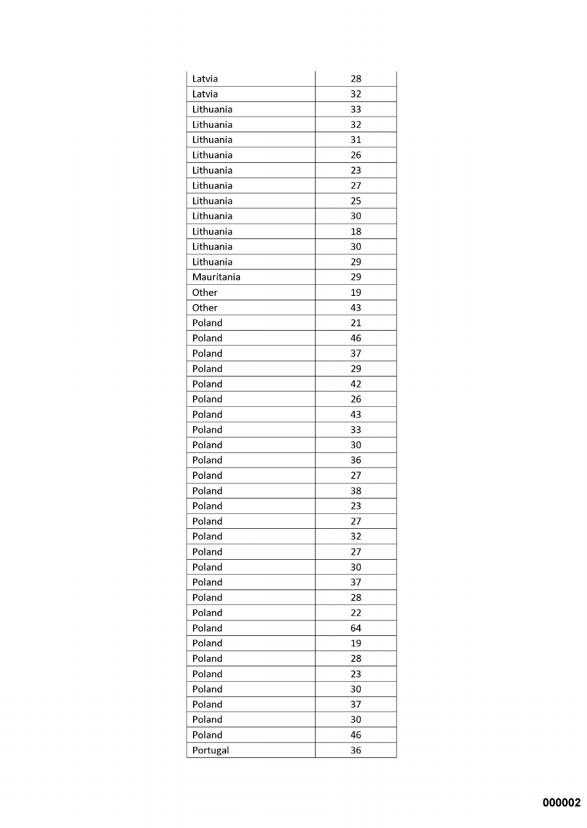| Latvia     | 28 |
|------------|----|
| Latvia     | 32 |
| Lithuania  | 33 |
| Lithuania  | 32 |
| Lithuania  | 31 |
| Lithuania  | 26 |
| Lithuania  | 23 |
| Lithuania  | 27 |
| Lithuania  | 25 |
| Lithuania  | 30 |
| Lithuania  | 18 |
| Lithuania  | 30 |
| Lithuania  | 29 |
| Mauritania | 29 |
| Other      | 19 |
| Other      | 43 |
| Poland     | 21 |
| Poland     | 46 |
| Poland     | 37 |
| Poland     | 29 |
| Poland     | 42 |
| Poland     | 26 |
| Poland     | 43 |
| Poland     | 33 |
| Poland     | 30 |
| Poland     | 36 |
| Poland     | 27 |
| Poland     | 38 |
| Poland     | 23 |
| Poland     | 27 |
| Poland     | 32 |
| Poland     | 27 |
| Poland     | 30 |
| Poland     | 37 |
| Poland     | 28 |
| Poland     | 22 |
| Poland     | 64 |
| Poland     | 19 |
| Poland     | 28 |
| Poland     | 23 |
| Poland     | 30 |
| Poland     | 37 |
| Poland     | 30 |
| Poland     | 46 |
|            | 36 |
| Portugal   |    |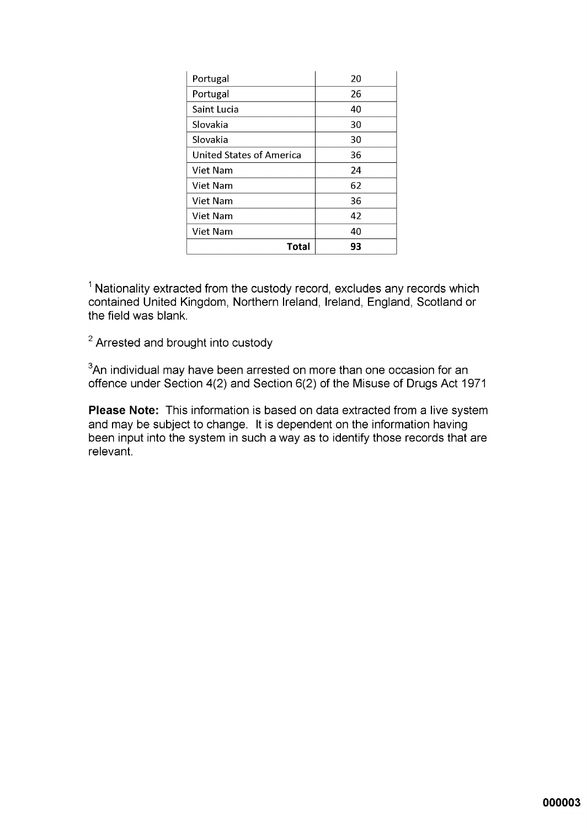| Portugal                        | 20 |
|---------------------------------|----|
| Portugal                        | 26 |
| Saint Lucia                     | 40 |
| Slovakia                        | 30 |
| Slovakia                        | 30 |
| <b>United States of America</b> | 36 |
| Viet Nam                        | 24 |
| Viet Nam                        | 62 |
| Viet Nam                        | 36 |
| Viet Nam                        | 42 |
| Viet Nam                        | 40 |
| Total                           | 93 |

<sup>1</sup> Nationality extracted from the custody record, excludes any records which contained United Kingdom, Northern Ireland, Ireland, England, Scotland or the field was blank.

<sup>2</sup> Arrested and brought into custody

<sup>3</sup>An individual may have been arrested on more than one occasion for an offence under Section 4(2) and Section 6(2) of the Misuse of Drugs Act 1971

Please Note: This information is based on data extracted from a live system and may be subject to change. It is dependent on the information having been input into the system in such a way as to identify those records that are relevant.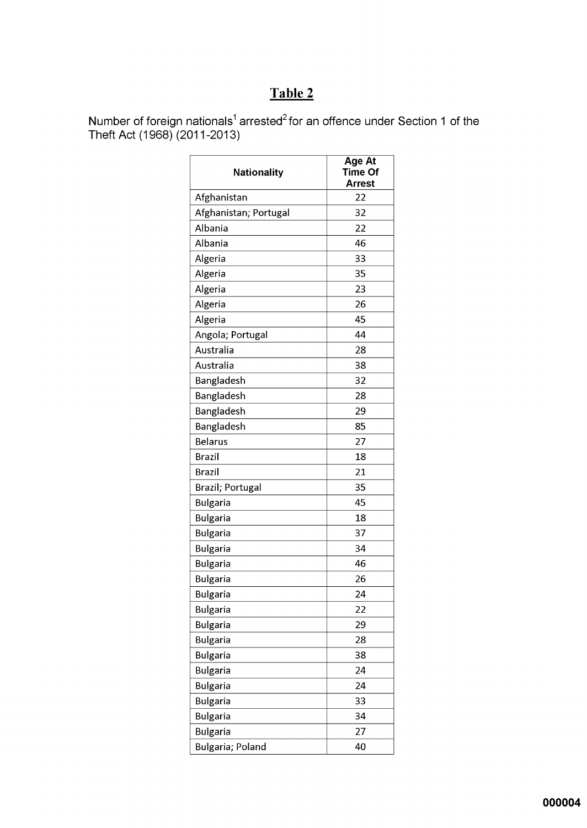### Table 2

Number of foreign nationals<sup>1</sup> arrested<sup>2</sup> for an offence under Section 1 of the Theft Act (1968) (2011-2013)

| <b>Nationality</b>       | Age At<br>Time Of<br>Arrest |
|--------------------------|-----------------------------|
| Afghanistan              | 22                          |
| Afghanistan; Portugal    | 32                          |
| Albania                  | 22                          |
| Albania                  | 46                          |
| Algeria                  | 33                          |
| Algeria                  | 35                          |
| Algeria                  | 23                          |
| Algeria                  | 26                          |
| Algeria                  | 45                          |
| Angola; Portugal         | 44                          |
| Australia                | 28                          |
| Australia                | 38                          |
| Bangladesh               | 32                          |
| Bangladesh               | 28                          |
| Bangladesh               | 29                          |
| Bangladesh               | 85                          |
| <b>Belarus</b>           | 27                          |
| <b>Brazil</b>            | 18                          |
| <b>Brazil</b>            | 21                          |
| Brazil; Portugal         | 35                          |
| <b>Bulgaria</b>          | 45                          |
| <b>Bulgaria</b>          | 18                          |
| <b>Bulgaria</b>          | 37                          |
| <b>Bulgaria</b>          | 34                          |
| <b>Bulgaria</b>          | 46                          |
| <b>Bulgaria</b>          | 26                          |
| <b>Bulgaria</b>          | 24                          |
| <b>Bulgaria</b>          | 22                          |
| <b>Bulgaria</b>          | 29                          |
| <b>Bulgaria</b>          | 28                          |
| <b>Bulgaria</b>          | 38                          |
| <b>Bulgaria</b>          | 24                          |
| <b>Bulgaria</b>          | 24                          |
| <b>Bulgaria</b>          | 33                          |
| <b>Bulgaria</b>          | 34                          |
| <b>Bulgaria</b>          | 27                          |
| <b>Bulgaria</b> ; Poland | 40                          |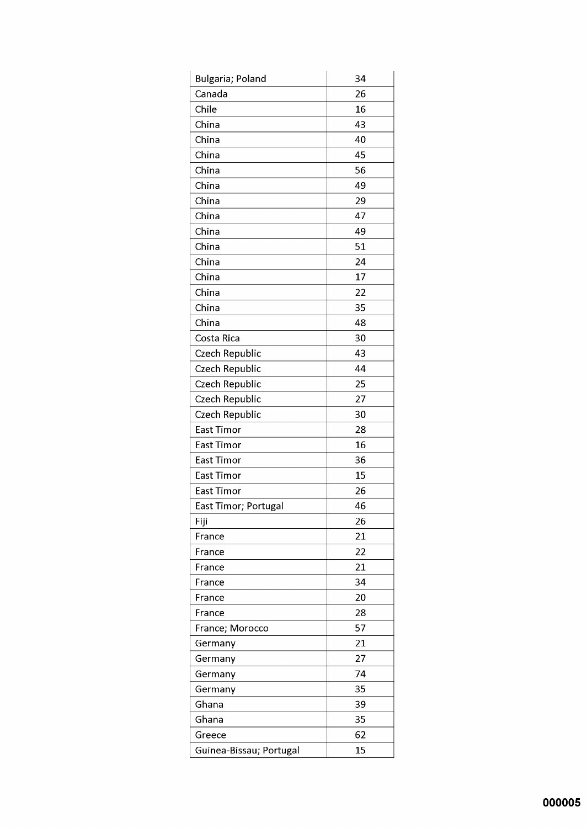| Bulgaria; Poland        | 34 |
|-------------------------|----|
| Canada                  | 26 |
| Chile                   | 16 |
| China                   | 43 |
| China                   | 40 |
| China                   | 45 |
| China                   | 56 |
| China                   | 49 |
| China                   | 29 |
| China                   | 47 |
| China                   | 49 |
| China                   | 51 |
| China                   | 24 |
| China                   | 17 |
| China                   | 22 |
| China                   | 35 |
| China                   | 48 |
| Costa Rica              | 30 |
| Czech Republic          | 43 |
| Czech Republic          | 44 |
| Czech Republic          | 25 |
| Czech Republic          | 27 |
| Czech Republic          | 30 |
| East Timor              | 28 |
| East Timor              | 16 |
| East Timor              | 36 |
| East Timor              | 15 |
| <b>East Timor</b>       | 26 |
| East Timor; Portugal    | 46 |
| Fiji                    | 26 |
| France                  | 21 |
| France                  | 22 |
| France                  | 21 |
| France                  | 34 |
| France                  | 20 |
| France                  | 28 |
| France; Morocco         | 57 |
| Germany                 | 21 |
| Germany                 | 27 |
| Germany                 | 74 |
| Germany                 | 35 |
| Ghana                   | 39 |
| Ghana                   | 35 |
| Greece                  | 62 |
| Guinea-Bissau; Portugal | 15 |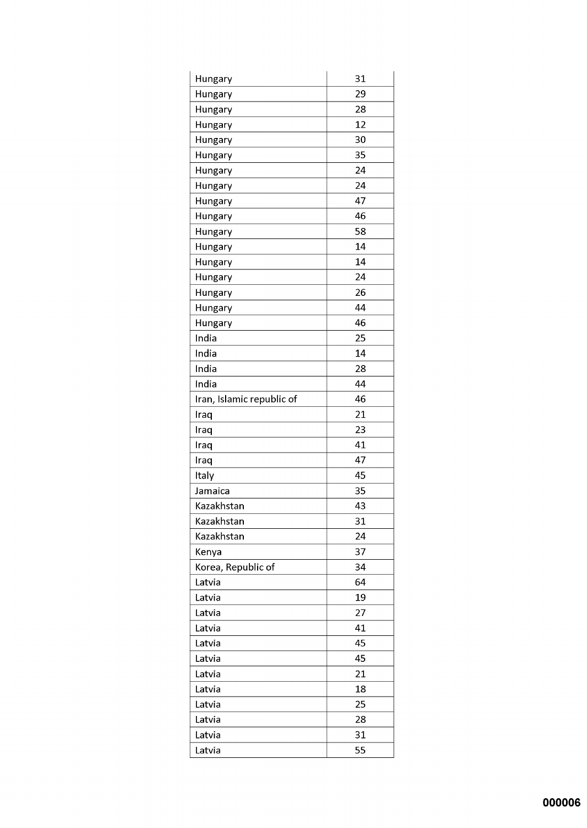| Hungary                   | 31 |
|---------------------------|----|
| Hungary                   | 29 |
| Hungary                   | 28 |
| Hungary                   | 12 |
| Hungary                   | 30 |
| Hungary                   | 35 |
| Hungary                   | 24 |
| Hungary                   | 24 |
| Hungary                   | 47 |
| Hungary                   | 46 |
| Hungary                   | 58 |
| Hungary                   | 14 |
| Hungary                   | 14 |
| Hungary                   | 24 |
| Hungary                   | 26 |
| Hungary                   | 44 |
| Hungary                   | 46 |
| India                     | 25 |
| India                     | 14 |
| India                     | 28 |
| India                     | 44 |
| Iran, Islamic republic of | 46 |
| Iraq                      | 21 |
| Iraq                      | 23 |
| Iraq                      | 41 |
| Iraq                      | 47 |
| Italy                     | 45 |
| Jamaica                   | 35 |
| Kazakhstan                | 43 |
| Kazakhstan                | 31 |
| Kazakhstan                | 24 |
| Kenya                     | 37 |
| Korea, Republic of        | 34 |
| Latvia                    | 64 |
| Latvia                    | 19 |
| Latvia                    | 27 |
| Latvia                    | 41 |
| Latvia                    | 45 |
| Latvia                    | 45 |
| Latvia                    | 21 |
| Latvia                    | 18 |
| Latvia                    | 25 |
| Latvia                    | 28 |
| Latvia                    | 31 |
| Latvia                    | 55 |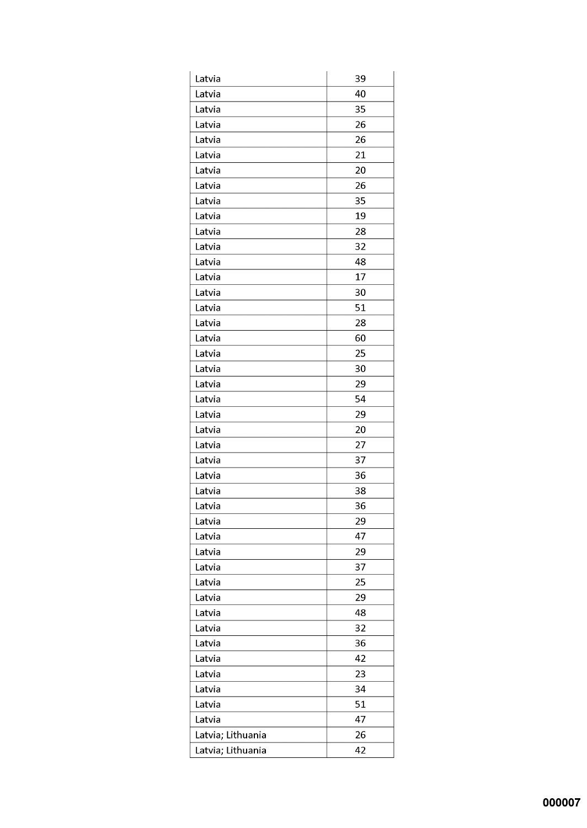| Latvia            | 39 |
|-------------------|----|
| Latvia            | 40 |
| Latvia            | 35 |
| Latvia            | 26 |
| Latvia            | 26 |
| Latvia            | 21 |
| Latvia            | 20 |
| Latvia            | 26 |
| Latvia            | 35 |
| Latvia            | 19 |
| Latvia            | 28 |
| Latvia            | 32 |
| Latvia            | 48 |
| Latvia            | 17 |
| Latvia            | 30 |
| Latvia            | 51 |
| Latvia            | 28 |
| Latvia            | 60 |
| Latvia            | 25 |
| Latvia            | 30 |
| Latvia            | 29 |
| Latvia            | 54 |
| Latvia            | 29 |
| Latvia            | 20 |
| Latvia            | 27 |
| Latvia            | 37 |
| Latvia            | 36 |
| Latvia            | 38 |
| Latvia            | 36 |
| Latvia            | 29 |
| Latvia            | 47 |
| Latvia            | 29 |
| Latvia            | 37 |
| Latvia            | 25 |
| Latvia            | 29 |
| Latvia            | 48 |
| Latvia            | 32 |
| Latvia            | 36 |
| Latvia            | 42 |
| Latvia            | 23 |
| Latvia            | 34 |
| Latvia            | 51 |
| Latvia            | 47 |
| Latvia; Lithuania | 26 |
| Latvia; Lithuania | 42 |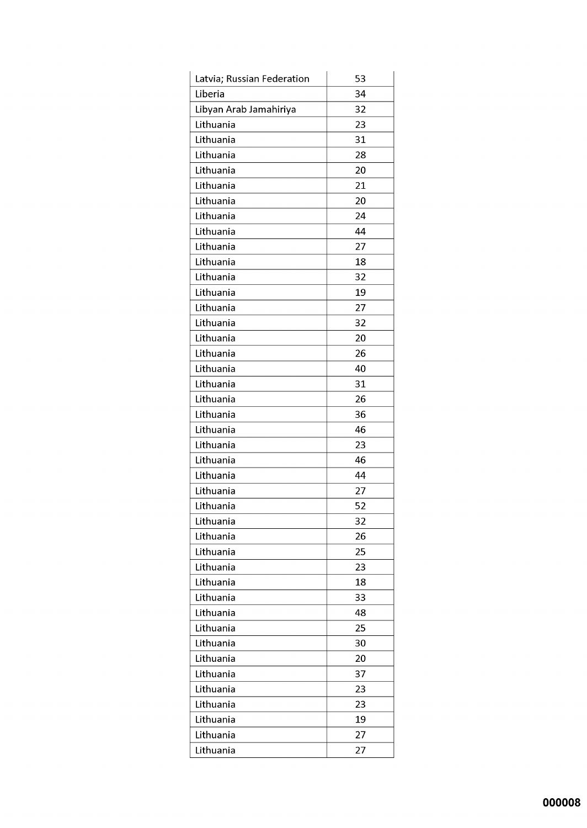| Latvia; Russian Federation | 53 |
|----------------------------|----|
| Liberia                    | 34 |
| Libyan Arab Jamahiriya     | 32 |
| Lithuania                  | 23 |
| Lithuania                  | 31 |
| Lithuania                  | 28 |
| Lithuania                  | 20 |
| Lithuania                  | 21 |
| Lithuania                  | 20 |
| Lithuania                  | 24 |
| Lithuania                  | 44 |
| Lithuania                  | 27 |
| Lithuania                  | 18 |
| Lithuania                  | 32 |
| Lithuania                  | 19 |
| Lithuania                  | 27 |
| Lithuania                  | 32 |
| Lithuania                  | 20 |
| Lithuania                  | 26 |
| Lithuania                  | 40 |
| Lithuania                  | 31 |
| Lithuania                  | 26 |
| Lithuania                  | 36 |
| Lithuania                  | 46 |
| Lithuania                  | 23 |
| Lithuania                  | 46 |
| Lithuania                  | 44 |
| Lithuania                  | 27 |
| Lithuania                  | 52 |
| Lithuania                  | 32 |
| Lithuania                  | 26 |
| Lithuania                  | 25 |
| Lithuania                  | 23 |
| Lithuania                  | 18 |
| Lithuania                  | 33 |
| Lithuania                  | 48 |
| Lithuania                  | 25 |
| Lithuania                  | 30 |
| Lithuania                  | 20 |
| Lithuania                  | 37 |
| Lithuania                  | 23 |
| Lithuania                  | 23 |
| Lithuania                  | 19 |
| Lithuania                  | 27 |
| Lithuania                  | 27 |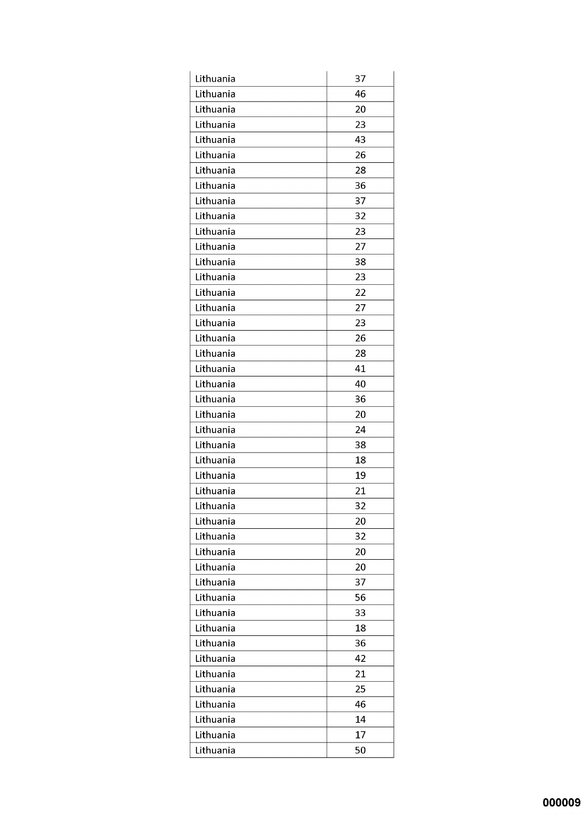| Lithuania | 37 |
|-----------|----|
| Lithuania | 46 |
| Lithuania | 20 |
| Lithuania | 23 |
| Lithuania | 43 |
| Lithuania | 26 |
| Lithuania | 28 |
| Lithuania | 36 |
| Lithuania | 37 |
| Lithuania | 32 |
| Lithuania | 23 |
| Lithuania | 27 |
| Lithuania | 38 |
| Lithuania | 23 |
| Lithuania | 22 |
| Lithuania | 27 |
| Lithuania | 23 |
| Lithuania | 26 |
| Lithuania | 28 |
| Lithuania | 41 |
| Lithuania | 40 |
| Lithuania | 36 |
| Lithuania | 20 |
| Lithuania | 24 |
| Lithuania | 38 |
| Lithuania | 18 |
| Lithuania | 19 |
| Lithuania | 21 |
| Lithuania | 32 |
| Lithuania | 20 |
| Lithuania | 32 |
| Lithuania | 20 |
| Lithuania | 20 |
| Lithuania | 37 |
| Lithuania | 56 |
| Lithuania | 33 |
| Lithuania | 18 |
| Lithuania | 36 |
| Lithuania | 42 |
| Lithuania | 21 |
| Lithuania | 25 |
| Lithuania | 46 |
| Lithuania | 14 |
| Lithuania | 17 |
| Lithuania | 50 |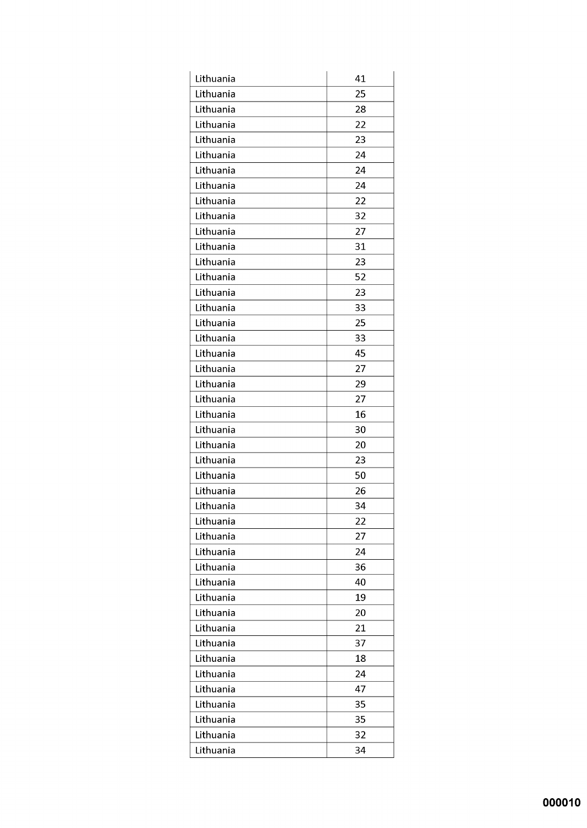| Lithuania | 41 |
|-----------|----|
| Lithuania | 25 |
| Lithuania | 28 |
| Lithuania | 22 |
| Lithuania | 23 |
| Lithuania | 24 |
| Lithuania | 24 |
| Lithuania | 24 |
| Lithuania | 22 |
| Lithuania | 32 |
| Lithuania | 27 |
| Lithuania | 31 |
| Lithuania | 23 |
| Lithuania | 52 |
| Lithuania | 23 |
| Lithuania | 33 |
| Lithuania | 25 |
| Lithuania | 33 |
| Lithuania | 45 |
| Lithuania | 27 |
| Lithuania | 29 |
| Lithuania | 27 |
| Lithuania | 16 |
| Lithuania | 30 |
| Lithuania | 20 |
| Lithuania | 23 |
| Lithuania | 50 |
| Lithuania | 26 |
| Lithuania | 34 |
| Lithuania | 22 |
| Lithuania | 27 |
| Lithuania | 24 |
| Lithuania | 36 |
| Lithuania | 40 |
| Lithuania | 19 |
| Lithuania | 20 |
| Lithuania | 21 |
| Lithuania | 37 |
| Lithuania | 18 |
| Lithuania | 24 |
| Lithuania | 47 |
| Lithuania | 35 |
| Lithuania | 35 |
| Lithuania | 32 |
| Lithuania | 34 |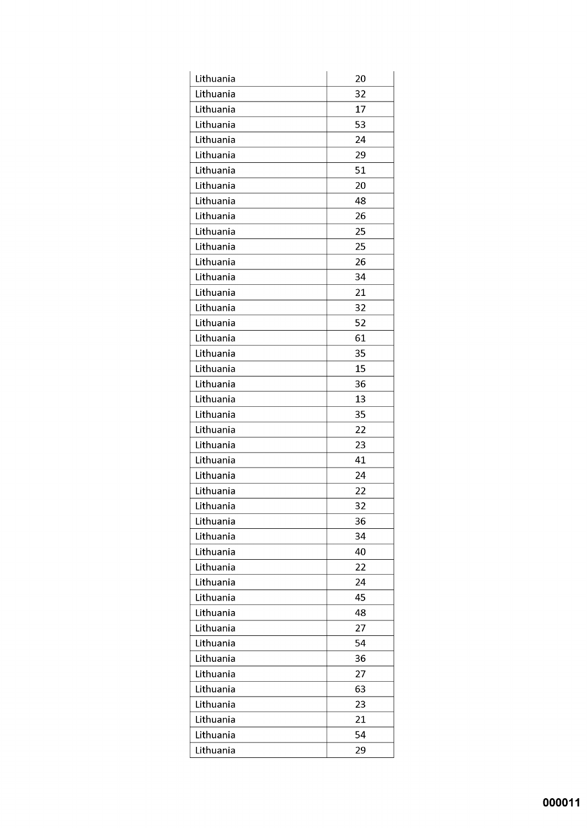| Lithuania | 20 |
|-----------|----|
| Lithuania | 32 |
| Lithuania | 17 |
| Lithuania | 53 |
| Lithuania | 24 |
| Lithuania | 29 |
| Lithuania | 51 |
| Lithuania | 20 |
| Lithuania | 48 |
| Lithuania | 26 |
| Lithuania | 25 |
| Lithuania | 25 |
| Lithuania | 26 |
| Lithuania | 34 |
| Lithuania | 21 |
| Lithuania | 32 |
| Lithuania | 52 |
| Lithuania | 61 |
| Lithuania | 35 |
| Lithuania | 15 |
| Lithuania | 36 |
| Lithuania | 13 |
| Lithuania | 35 |
| Lithuania | 22 |
| Lithuania | 23 |
| Lithuania | 41 |
| Lithuania | 24 |
| Lithuania | 22 |
| Lithuania | 32 |
| Lithuania | 36 |
| Lithuania | 34 |
| Lithuania | 40 |
| Lithuania | 22 |
| Lithuania | 24 |
| Lithuania | 45 |
| Lithuania | 48 |
| Lithuania | 27 |
| Lithuania | 54 |
| Lithuania | 36 |
| Lithuania | 27 |
| Lithuania | 63 |
| Lithuania | 23 |
| Lithuania | 21 |
| Lithuania | 54 |
| Lithuania | 29 |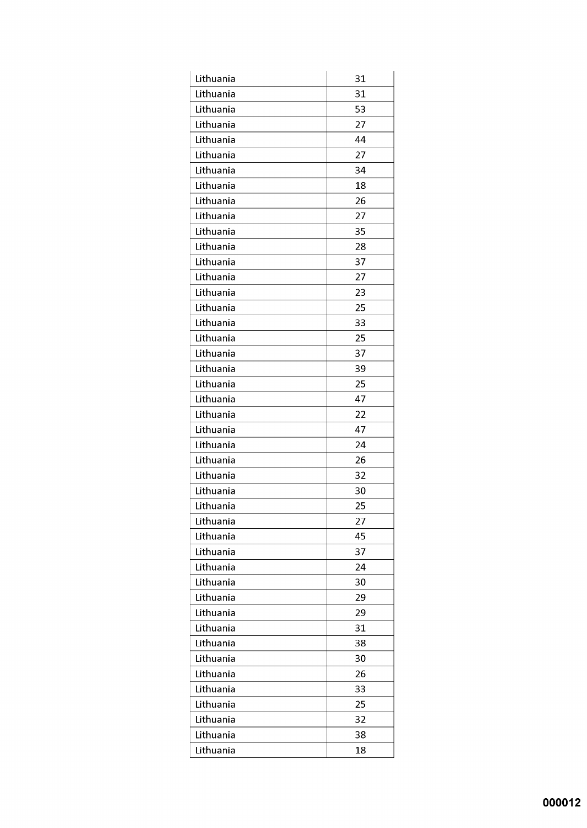| Lithuania | 31 |
|-----------|----|
| Lithuania | 31 |
| Lithuania | 53 |
| Lithuania | 27 |
| Lithuania | 44 |
| Lithuania | 27 |
| Lithuania | 34 |
| Lithuania | 18 |
| Lithuania | 26 |
| Lithuania | 27 |
| Lithuania | 35 |
| Lithuania | 28 |
| Lithuania | 37 |
| Lithuania | 27 |
| Lithuania | 23 |
| Lithuania | 25 |
| Lithuania | 33 |
| Lithuania | 25 |
| Lithuania | 37 |
| Lithuania | 39 |
| Lithuania | 25 |
| Lithuania | 47 |
| Lithuania | 22 |
| Lithuania | 47 |
| Lithuania | 24 |
| Lithuania | 26 |
| Lithuania | 32 |
| Lithuania | 30 |
| Lithuania | 25 |
| Lithuania | 27 |
| Lithuania | 45 |
| Lithuania | 37 |
| Lithuania | 24 |
| Lithuania | 30 |
| Lithuania | 29 |
| Lithuania | 29 |
| Lithuania | 31 |
| Lithuania | 38 |
| Lithuania | 30 |
| Lithuania | 26 |
| Lithuania | 33 |
| Lithuania | 25 |
| Lithuania | 32 |
| Lithuania | 38 |
| Lithuania | 18 |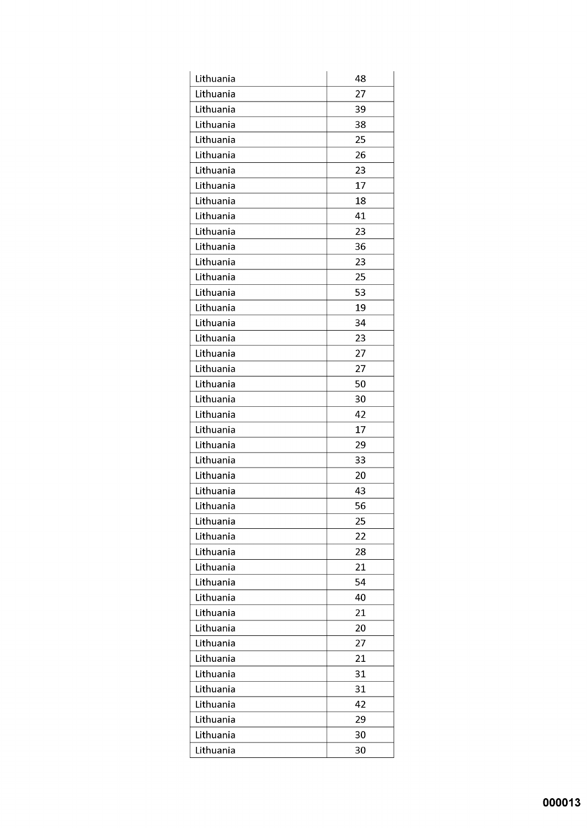| Lithuania | 48 |
|-----------|----|
| Lithuania | 27 |
| Lithuania | 39 |
| Lithuania | 38 |
| Lithuania | 25 |
| Lithuania | 26 |
| Lithuania | 23 |
| Lithuania | 17 |
| Lithuania | 18 |
| Lithuania | 41 |
| Lithuania | 23 |
| Lithuania | 36 |
| Lithuania | 23 |
| Lithuania | 25 |
| Lithuania | 53 |
| Lithuania | 19 |
| Lithuania | 34 |
| Lithuania | 23 |
| Lithuania | 27 |
| Lithuania | 27 |
| Lithuania | 50 |
| Lithuania | 30 |
| Lithuania | 42 |
| Lithuania | 17 |
| Lithuania | 29 |
| Lithuania | 33 |
| Lithuania | 20 |
| Lithuania | 43 |
| Lithuania | 56 |
| Lithuania | 25 |
| Lithuania | 22 |
| Lithuania | 28 |
| Lithuania | 21 |
| Lithuania | 54 |
| Lithuania | 40 |
| Lithuania | 21 |
| Lithuania | 20 |
| Lithuania | 27 |
| Lithuania | 21 |
| Lithuania | 31 |
| Lithuania | 31 |
| Lithuania | 42 |
| Lithuania | 29 |
| Lithuania | 30 |
| Lithuania | 30 |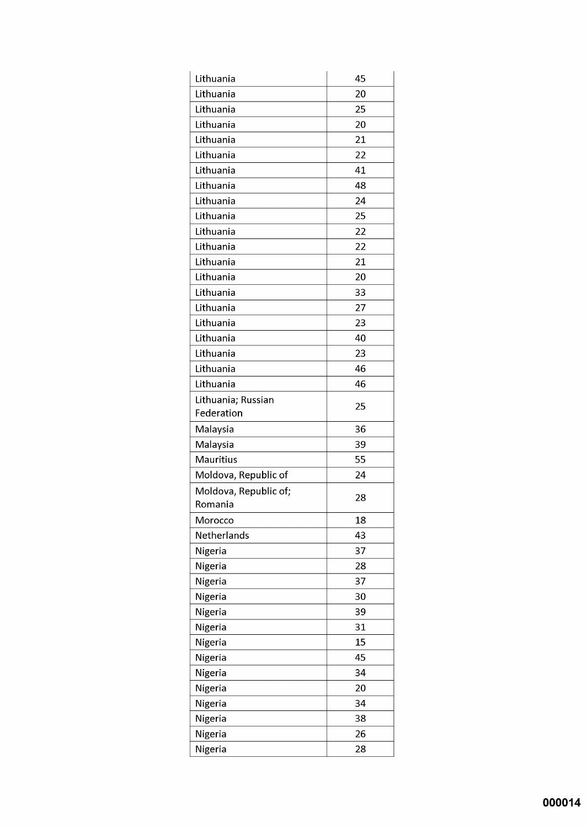| Lithuania                        | 45 |
|----------------------------------|----|
| Lithuania                        | 20 |
| Lithuania                        | 25 |
| Lithuania                        | 20 |
| Lithuania                        | 21 |
| Lithuania                        | 22 |
| Lithuania                        | 41 |
| Lithuania                        | 48 |
| Lithuania                        | 24 |
| Lithuania                        | 25 |
| Lithuania                        | 22 |
| Lithuania                        | 22 |
| Lithuania                        | 21 |
| Lithuania                        | 20 |
| Lithuania                        | 33 |
| Lithuania                        | 27 |
| Lithuania                        | 23 |
| Lithuania                        | 40 |
| Lithuania                        | 23 |
| Lithuania                        | 46 |
| Lithuania                        | 46 |
| Lithuania; Russian               | 25 |
| Federation                       |    |
| Malaysia                         | 36 |
| Malaysia                         | 39 |
| <b>Mauritius</b>                 | 55 |
| Moldova, Republic of             | 24 |
| Moldova, Republic of;<br>Romania | 28 |
| Morocco                          | 18 |
| Netherlands                      | 43 |
| Nigeria                          | 37 |
| Nigeria                          | 28 |
| Nigeria                          | 37 |
| Nigeria                          | 30 |
| Nigeria                          | 39 |
| Nigeria                          | 31 |
| Nigeria                          | 15 |
| Nigeria                          | 45 |
| Nigeria                          | 34 |
| Nigeria                          | 20 |
| Nigeria                          | 34 |
| Nigeria                          | 38 |
| Nigeria                          | 26 |
| Nigeria                          | 28 |
|                                  |    |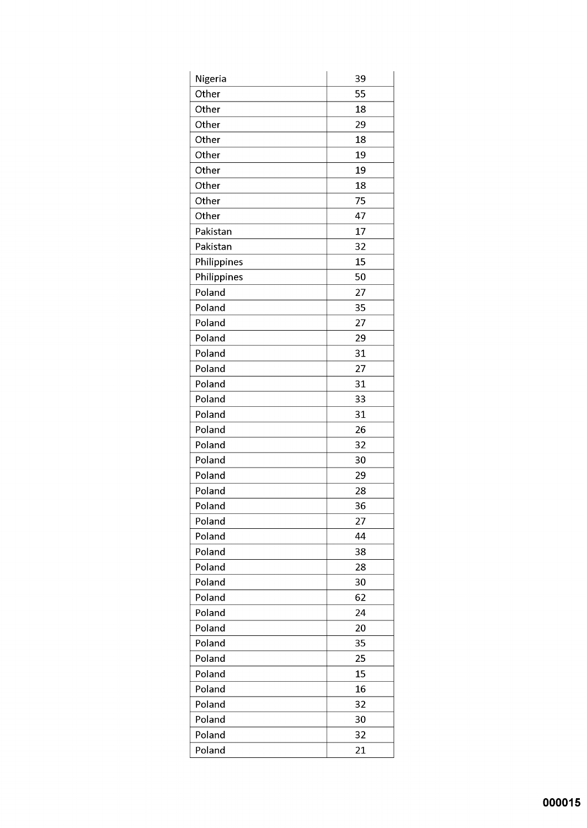| Nigeria     | 39 |
|-------------|----|
| Other       | 55 |
| Other       | 18 |
| Other       | 29 |
| Other       | 18 |
| Other       | 19 |
| Other       | 19 |
| Other       | 18 |
| Other       | 75 |
| Other       | 47 |
| Pakistan    | 17 |
| Pakistan    | 32 |
| Philippines | 15 |
| Philippines | 50 |
| Poland      | 27 |
| Poland      | 35 |
| Poland      | 27 |
| Poland      | 29 |
| Poland      | 31 |
| Poland      | 27 |
| Poland      | 31 |
| Poland      | 33 |
| Poland      | 31 |
| Poland      | 26 |
| Poland      | 32 |
| Poland      | 30 |
| Poland      | 29 |
| Poland      | 28 |
| Poland      | 36 |
| Poland      | 27 |
| Poland      | 44 |
| Poland      | 38 |
| Poland      | 28 |
| Poland      | 30 |
| Poland      | 62 |
| Poland      | 24 |
| Poland      | 20 |
| Poland      | 35 |
| Poland      | 25 |
| Poland      | 15 |
| Poland      | 16 |
| Poland      | 32 |
| Poland      | 30 |
| Poland      | 32 |
| Poland      | 21 |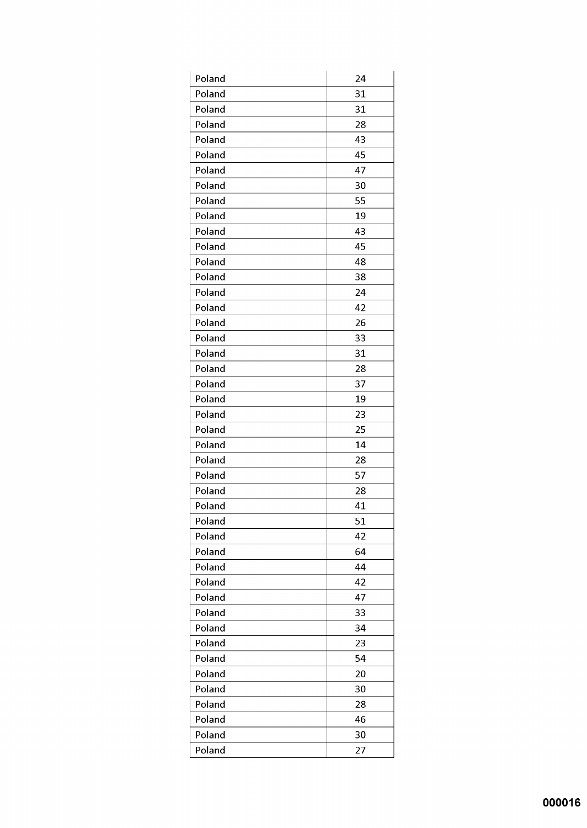| Poland | 24 |
|--------|----|
| Poland | 31 |
| Poland | 31 |
| Poland | 28 |
| Poland | 43 |
| Poland | 45 |
| Poland | 47 |
| Poland | 30 |
| Poland | 55 |
| Poland | 19 |
| Poland | 43 |
| Poland | 45 |
| Poland | 48 |
| Poland | 38 |
| Poland | 24 |
| Poland | 42 |
| Poland | 26 |
| Poland | 33 |
| Poland | 31 |
| Poland | 28 |
| Poland | 37 |
| Poland | 19 |
| Poland | 23 |
| Poland | 25 |
| Poland | 14 |
| Poland | 28 |
| Poland | 57 |
| Poland | 28 |
| Poland | 41 |
| Poland | 51 |
| Poland | 42 |
| Poland | 64 |
| Poland | 44 |
| Poland | 42 |
| Poland | 47 |
| Poland | 33 |
| Poland | 34 |
| Poland | 23 |
| Poland | 54 |
| Poland | 20 |
| Poland | 30 |
| Poland | 28 |
| Poland | 46 |
| Poland | 30 |
| Poland | 27 |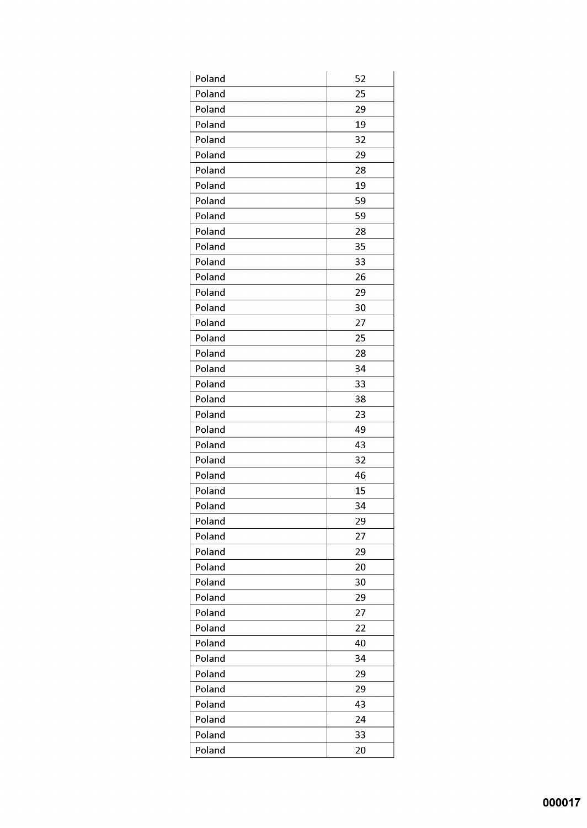| Poland | 52 |
|--------|----|
| Poland | 25 |
| Poland | 29 |
| Poland | 19 |
| Poland | 32 |
| Poland | 29 |
| Poland | 28 |
| Poland | 19 |
| Poland | 59 |
| Poland | 59 |
| Poland | 28 |
| Poland | 35 |
| Poland | 33 |
| Poland | 26 |
| Poland | 29 |
| Poland | 30 |
| Poland | 27 |
| Poland | 25 |
| Poland | 28 |
| Poland | 34 |
| Poland | 33 |
| Poland | 38 |
| Poland | 23 |
| Poland | 49 |
| Poland | 43 |
| Poland | 32 |
| Poland | 46 |
| Poland | 15 |
| Poland | 34 |
| Poland | 29 |
| Poland | 27 |
| Poland | 29 |
| Poland | 20 |
| Poland | 30 |
| Poland | 29 |
| Poland | 27 |
| Poland | 22 |
| Poland | 40 |
| Poland | 34 |
| Poland | 29 |
| Poland | 29 |
| Poland | 43 |
| Poland | 24 |
| Poland | 33 |
| Poland | 20 |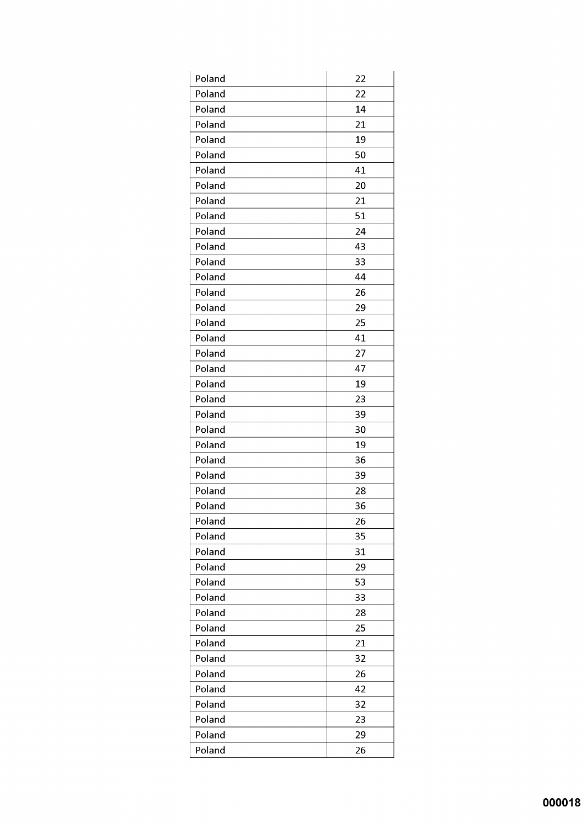| Poland | 22 |
|--------|----|
| Poland | 22 |
| Poland | 14 |
| Poland | 21 |
| Poland | 19 |
| Poland | 50 |
| Poland | 41 |
| Poland | 20 |
| Poland | 21 |
| Poland | 51 |
| Poland | 24 |
| Poland | 43 |
| Poland | 33 |
| Poland | 44 |
| Poland | 26 |
| Poland | 29 |
| Poland | 25 |
| Poland | 41 |
| Poland | 27 |
| Poland | 47 |
| Poland | 19 |
| Poland | 23 |
| Poland | 39 |
| Poland | 30 |
| Poland | 19 |
| Poland | 36 |
| Poland | 39 |
| Poland | 28 |
| Poland | 36 |
| Poland | 26 |
| Poland | 35 |
| Poland | 31 |
| Poland | 29 |
| Poland | 53 |
| Poland | 33 |
| Poland | 28 |
| Poland | 25 |
| Poland | 21 |
| Poland | 32 |
| Poland | 26 |
| Poland | 42 |
| Poland | 32 |
| Poland | 23 |
| Poland | 29 |
| Poland | 26 |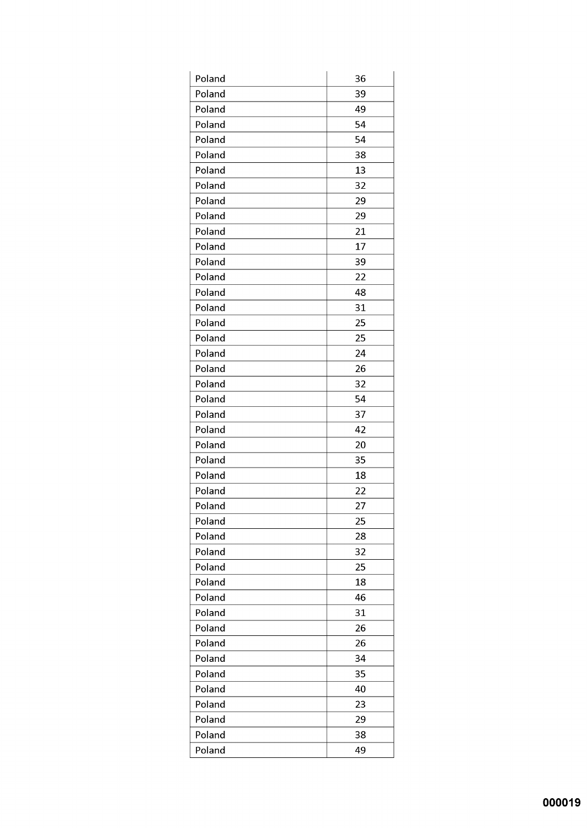| Poland | 36 |
|--------|----|
| Poland | 39 |
| Poland | 49 |
| Poland | 54 |
| Poland | 54 |
| Poland | 38 |
| Poland | 13 |
| Poland | 32 |
| Poland | 29 |
| Poland | 29 |
| Poland | 21 |
| Poland | 17 |
| Poland | 39 |
| Poland | 22 |
| Poland | 48 |
| Poland | 31 |
| Poland | 25 |
| Poland | 25 |
| Poland | 24 |
| Poland | 26 |
| Poland | 32 |
| Poland | 54 |
| Poland | 37 |
| Poland | 42 |
| Poland | 20 |
| Poland | 35 |
| Poland | 18 |
| Poland | 22 |
| Poland | 27 |
| Poland | 25 |
| Poland | 28 |
| Poland | 32 |
| Poland | 25 |
| Poland | 18 |
| Poland | 46 |
| Poland | 31 |
| Poland | 26 |
| Poland | 26 |
| Poland | 34 |
| Poland | 35 |
| Poland | 40 |
| Poland | 23 |
| Poland | 29 |
| Poland | 38 |
| Poland | 49 |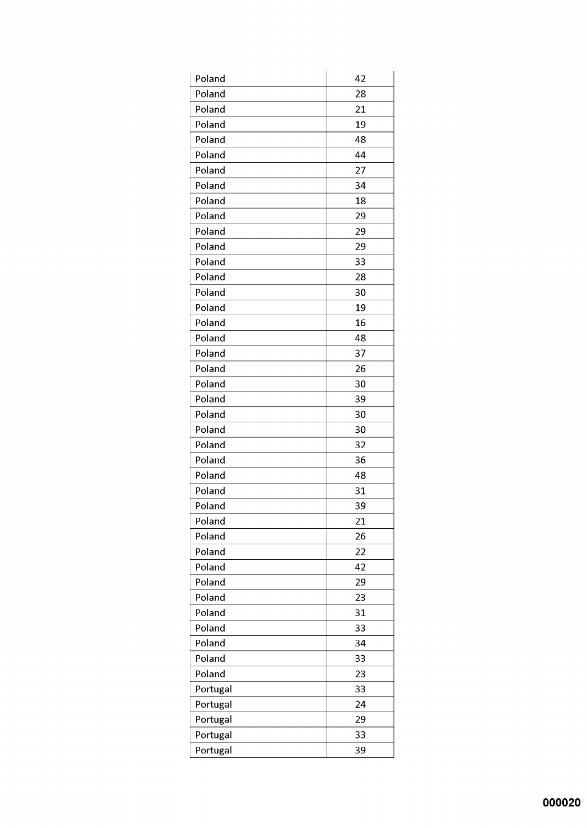| Poland   | 42 |
|----------|----|
| Poland   | 28 |
| Poland   | 21 |
| Poland   | 19 |
| Poland   | 48 |
| Poland   | 44 |
| Poland   | 27 |
| Poland   | 34 |
| Poland   | 18 |
| Poland   | 29 |
| Poland   | 29 |
| Poland   | 29 |
| Poland   | 33 |
| Poland   | 28 |
| Poland   | 30 |
| Poland   | 19 |
| Poland   | 16 |
| Poland   | 48 |
| Poland   | 37 |
| Poland   | 26 |
| Poland   | 30 |
| Poland   | 39 |
| Poland   | 30 |
| Poland   | 30 |
| Poland   | 32 |
| Poland   | 36 |
| Poland   | 48 |
| Poland   | 31 |
| Poland   | 39 |
| Poland   | 21 |
| Poland   | 26 |
| Poland   | 22 |
| Poland   | 42 |
| Poland   | 29 |
| Poland   | 23 |
| Poland   | 31 |
| Poland   | 33 |
| Poland   | 34 |
| Poland   | 33 |
| Poland   | 23 |
| Portugal | 33 |
| Portugal | 24 |
| Portugal | 29 |
| Portugal | 33 |
| Portugal | 39 |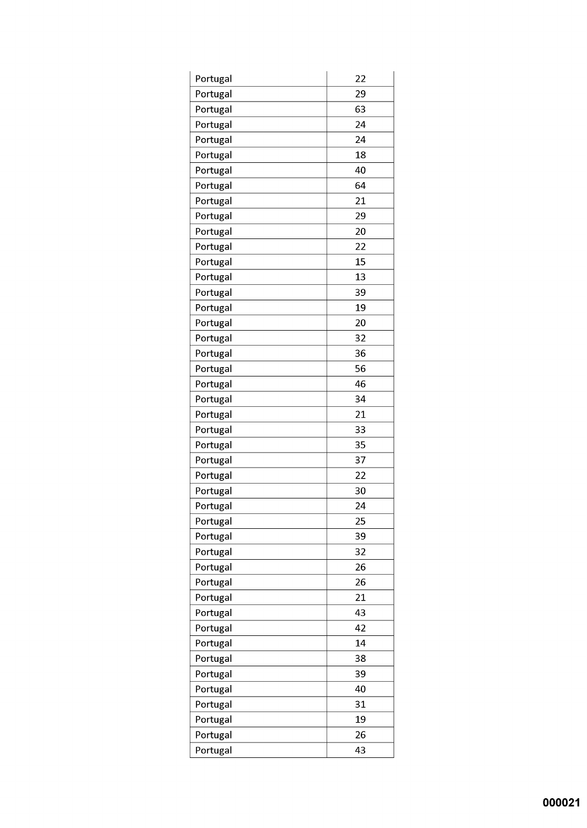| Portugal | 22 |
|----------|----|
| Portugal | 29 |
| Portugal | 63 |
| Portugal | 24 |
| Portugal | 24 |
| Portugal | 18 |
| Portugal | 40 |
| Portugal | 64 |
| Portugal | 21 |
| Portugal | 29 |
| Portugal | 20 |
| Portugal | 22 |
| Portugal | 15 |
| Portugal | 13 |
| Portugal | 39 |
| Portugal | 19 |
| Portugal | 20 |
| Portugal | 32 |
| Portugal | 36 |
| Portugal | 56 |
| Portugal | 46 |
| Portugal | 34 |
| Portugal | 21 |
| Portugal | 33 |
| Portugal | 35 |
| Portugal | 37 |
| Portugal | 22 |
| Portugal | 30 |
| Portugal | 24 |
| Portugal | 25 |
| Portugal | 39 |
| Portugal | 32 |
| Portugal | 26 |
| Portugal | 26 |
| Portugal | 21 |
| Portugal | 43 |
| Portugal | 42 |
| Portugal | 14 |
| Portugal | 38 |
| Portugal | 39 |
| Portugal | 40 |
| Portugal | 31 |
| Portugal | 19 |
| Portugal | 26 |
| Portugal | 43 |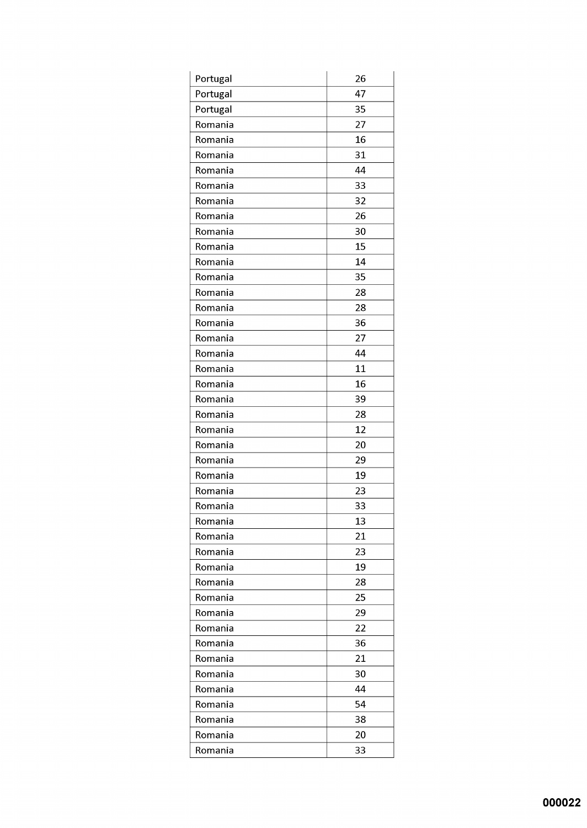| Portugal | 26 |
|----------|----|
| Portugal | 47 |
| Portugal | 35 |
| Romania  | 27 |
| Romania  | 16 |
| Romania  | 31 |
| Romania  | 44 |
| Romania  | 33 |
| Romania  | 32 |
| Romania  | 26 |
| Romania  | 30 |
| Romania  | 15 |
| Romania  | 14 |
| Romania  | 35 |
| Romania  | 28 |
| Romania  | 28 |
| Romania  | 36 |
| Romania  | 27 |
| Romania  | 44 |
| Romania  | 11 |
| Romania  | 16 |
| Romania  | 39 |
| Romania  | 28 |
| Romania  | 12 |
| Romania  | 20 |
| Romania  | 29 |
| Romania  | 19 |
| Romania  | 23 |
| Romania  | 33 |
| Romania  | 13 |
| Romania  | 21 |
| Romania  | 23 |
| Romania  | 19 |
| Romania  | 28 |
| Romania  | 25 |
| Romania  | 29 |
| Romania  | 22 |
| Romania  | 36 |
| Romania  | 21 |
| Romania  | 30 |
| Romania  | 44 |
| Romania  | 54 |
| Romania  | 38 |
| Romania  | 20 |
| Romania  | 33 |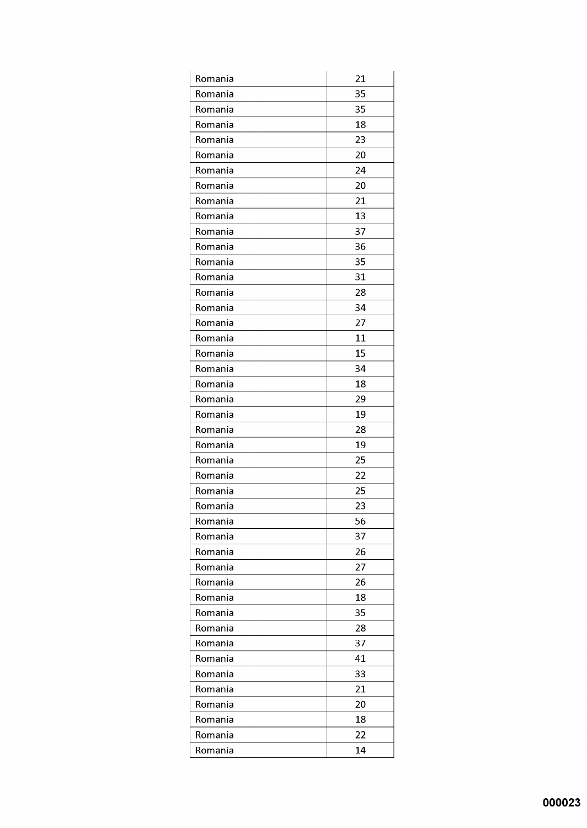| Romania | 21 |
|---------|----|
| Romania | 35 |
| Romania | 35 |
| Romania | 18 |
| Romania | 23 |
| Romania | 20 |
| Romania | 24 |
| Romania | 20 |
| Romania | 21 |
| Romania | 13 |
| Romania | 37 |
| Romania | 36 |
| Romania | 35 |
| Romania | 31 |
| Romania | 28 |
| Romania | 34 |
| Romania | 27 |
| Romania | 11 |
| Romania | 15 |
| Romania | 34 |
| Romania | 18 |
| Romania | 29 |
| Romania | 19 |
| Romania | 28 |
| Romania | 19 |
| Romania | 25 |
| Romania | 22 |
| Romania | 25 |
| Romania | 23 |
| Romania | 56 |
| Romania | 37 |
| Romania | 26 |
| Romania | 27 |
| Romania | 26 |
| Romania | 18 |
| Romania | 35 |
| Romania | 28 |
| Romania | 37 |
| Romania | 41 |
| Romania | 33 |
| Romania | 21 |
| Romania | 20 |
| Romania | 18 |
| Romania | 22 |
| Romania | 14 |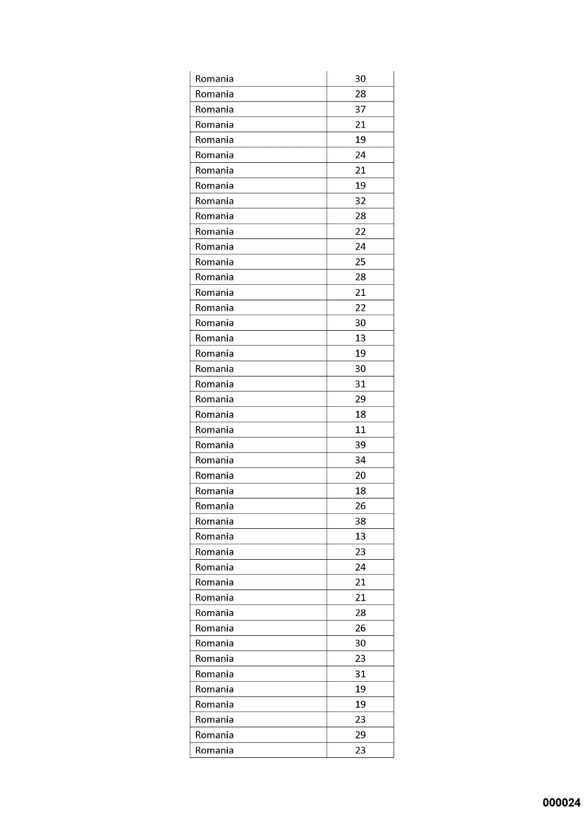| Romania | 30 |
|---------|----|
| Romania | 28 |
| Romania | 37 |
| Romania | 21 |
| Romania | 19 |
| Romania | 24 |
| Romania | 21 |
| Romania | 19 |
| Romania | 32 |
| Romania | 28 |
| Romania | 22 |
| Romania | 24 |
| Romania | 25 |
| Romania | 28 |
| Romania | 21 |
| Romania | 22 |
| Romania | 30 |
| Romania | 13 |
| Romania | 19 |
| Romania | 30 |
| Romania | 31 |
| Romania | 29 |
| Romania | 18 |
| Romania | 11 |
| Romania | 39 |
| Romania | 34 |
| Romania | 20 |
| Romania | 18 |
| Romania | 26 |
| Romania | 38 |
| Romania | 13 |
| Romania | 23 |
| Romania | 24 |
| Romania | 21 |
| Romania | 21 |
| Romania | 28 |
| Romania | 26 |
| Romania | 30 |
| Romania | 23 |
| Romania | 31 |
| Romania | 19 |
| Romania | 19 |
| Romania | 23 |
| Romania | 29 |
| Romania | 23 |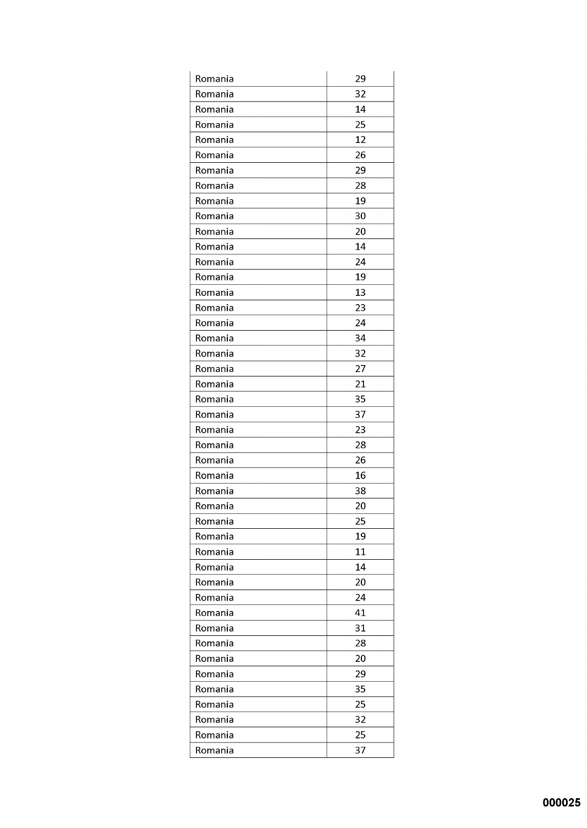| Romania | 29 |
|---------|----|
| Romania | 32 |
| Romania | 14 |
| Romania | 25 |
| Romania | 12 |
| Romania | 26 |
| Romania | 29 |
| Romania | 28 |
| Romania | 19 |
| Romania | 30 |
| Romania | 20 |
| Romania | 14 |
| Romania | 24 |
| Romania | 19 |
| Romania | 13 |
| Romania | 23 |
| Romania | 24 |
| Romania | 34 |
| Romania | 32 |
| Romania | 27 |
| Romania | 21 |
| Romania | 35 |
| Romania | 37 |
| Romania | 23 |
| Romania | 28 |
| Romania | 26 |
| Romania | 16 |
| Romania | 38 |
| Romania | 20 |
| Romania | 25 |
| Romania | 19 |
| Romania | 11 |
| Romania | 14 |
| Romania | 20 |
| Romania | 24 |
| Romania | 41 |
| Romania | 31 |
| Romania | 28 |
| Romania | 20 |
| Romania | 29 |
| Romania | 35 |
| Romania | 25 |
| Romania | 32 |
| Romania | 25 |
| Romania | 37 |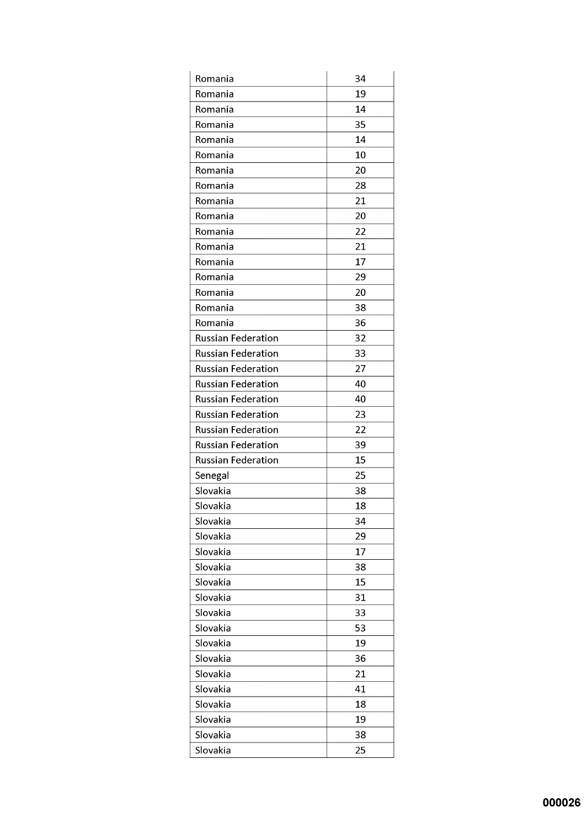| Romania                   | 34 |
|---------------------------|----|
| Romania                   | 19 |
| Romania                   | 14 |
| Romania                   | 35 |
| Romania                   | 14 |
| Romania                   | 10 |
| Romania                   | 20 |
| Romania                   | 28 |
| Romania                   | 21 |
| Romania                   | 20 |
| Romania                   | 22 |
| Romania                   | 21 |
| Romania                   | 17 |
| Romania                   | 29 |
| Romania                   | 20 |
| Romania                   | 38 |
| Romania                   | 36 |
| <b>Russian Federation</b> | 32 |
| <b>Russian Federation</b> | 33 |
| <b>Russian Federation</b> | 27 |
| <b>Russian Federation</b> | 40 |
| <b>Russian Federation</b> | 40 |
| <b>Russian Federation</b> | 23 |
| <b>Russian Federation</b> | 22 |
| <b>Russian Federation</b> | 39 |
| <b>Russian Federation</b> | 15 |
| Senegal                   | 25 |
| Slovakia                  | 38 |
| Slovakia                  | 18 |
| Slovakia                  | 34 |
| Slovakia                  | 29 |
| Slovakia                  | 17 |
| Slovakia                  | 38 |
| Slovakia                  | 15 |
| Slovakia                  | 31 |
| Slovakia                  | 33 |
| Slovakia                  | 53 |
| Slovakia                  | 19 |
| Slovakia                  | 36 |
| Slovakia                  | 21 |
| Slovakia                  | 41 |
| Slovakia                  | 18 |
| Slovakia                  | 19 |
| Slovakia                  | 38 |
| Slovakia                  | 25 |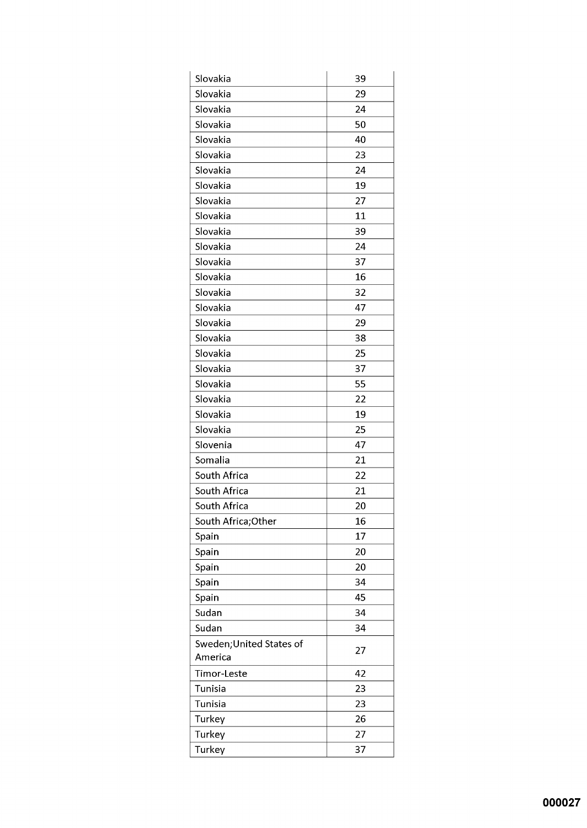| Slovakia                 | 39 |
|--------------------------|----|
| Slovakia                 | 29 |
| Slovakia                 | 24 |
| Slovakia                 | 50 |
| Slovakia                 | 40 |
| Slovakia                 | 23 |
| Slovakia                 | 24 |
| Slovakia                 | 19 |
| Slovakia                 | 27 |
| Slovakia                 | 11 |
| Slovakia                 | 39 |
| Slovakia                 | 24 |
| Slovakia                 | 37 |
| Slovakia                 | 16 |
| Slovakia                 | 32 |
| Slovakia                 | 47 |
| Slovakia                 | 29 |
| Slovakia                 | 38 |
| Slovakia                 | 25 |
| Slovakia                 | 37 |
| Slovakia                 | 55 |
| Slovakia                 | 22 |
| Slovakia                 | 19 |
| Slovakia                 | 25 |
| Slovenia                 | 47 |
| Somalia                  | 21 |
| South Africa             | 22 |
| South Africa             | 21 |
| South Africa             | 20 |
| South Africa;Other       | 16 |
| Spain                    | 17 |
| Spain                    | 20 |
| Spain                    | 20 |
| Spain                    | 34 |
| Spain                    | 45 |
| Sudan                    | 34 |
| Sudan                    | 34 |
| Sweden; United States of | 27 |
| America                  |    |
| Timor-Leste              | 42 |
| Tunisia                  | 23 |
| <b>Tunisia</b>           | 23 |
| Turkey                   | 26 |
| Turkey                   | 27 |
| Turkey                   | 37 |